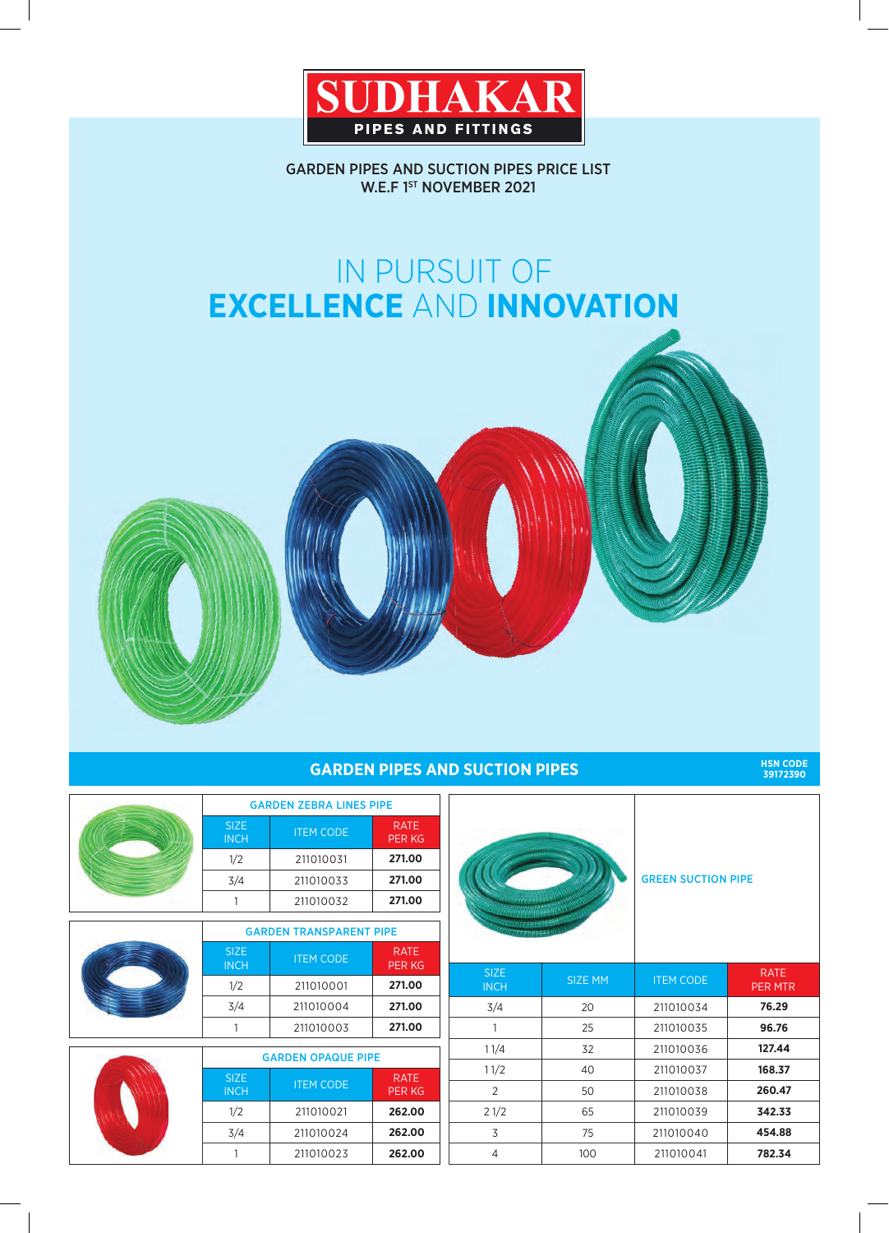

GARDEN PIPES AND SUCTION PIPES PRICE LIST W.E.F 1ST NOVEMBER 2021

# IN PURSUIT OF **EXCELLENCE** AND **INNOVATION**

## **GARDEN PIPES AND SUCTION PIPES**

**39172390**

|  | <b>GARDEN ZEBRA LINES PIPE</b> |                  |                              |
|--|--------------------------------|------------------|------------------------------|
|  | <b>SIZE</b><br><b>INCH</b>     | <b>ITEM CODE</b> | <b>RATE</b><br><b>PER KG</b> |
|  | 1/2                            | 211010031        | 271.00                       |
|  | 3/4                            | 211010033        | 271.00                       |
|  |                                | 211010032        | 271.00                       |

| <b>GARDEN TRANSPARENT PIPE</b>                 |                              |  |  |
|------------------------------------------------|------------------------------|--|--|
| <b>SIZE</b><br><b>ITEM CODE</b><br><b>INCH</b> | <b>RATE</b><br><b>PER KG</b> |  |  |
| 1/2<br>211010001                               | 271.00                       |  |  |
| 3/4<br>211010004                               | 271.00                       |  |  |
| 211010003                                      | 271.00                       |  |  |

|  | <b>GARDEN OPAQUE PIPE</b>  |                  |                              |
|--|----------------------------|------------------|------------------------------|
|  | <b>SIZE</b><br><b>INCH</b> | <b>ITEM CODE</b> | <b>RATE</b><br><b>PER KG</b> |
|  | 1/2                        | 211010021        | 262.00                       |
|  | 3/4                        | 211010024        | 262.00                       |
|  |                            | 211010023        | 262.00                       |



| <b>SIZE</b><br><b>INCH</b> | <b>SIZE MM</b> | <b>ITEM CODE</b> | <b>RATE</b><br><b>PER MTR</b> |
|----------------------------|----------------|------------------|-------------------------------|
| 3/4                        | 20             | 211010034        | 76.29                         |
| 1                          | 25             | 211010035        | 96.76                         |
| 11/4                       | 32             | 211010036        | 127.44                        |
| 11/2                       | 40             | 211010037        | 168.37                        |
| 2                          | 50             | 211010038        | 260.47                        |
| 21/2                       | 65             | 211010039        | 342.33                        |
| 3                          | 75             | 211010040        | 454.88                        |
| 4                          | 100            | 211010041        | 782.34                        |
|                            |                |                  |                               |